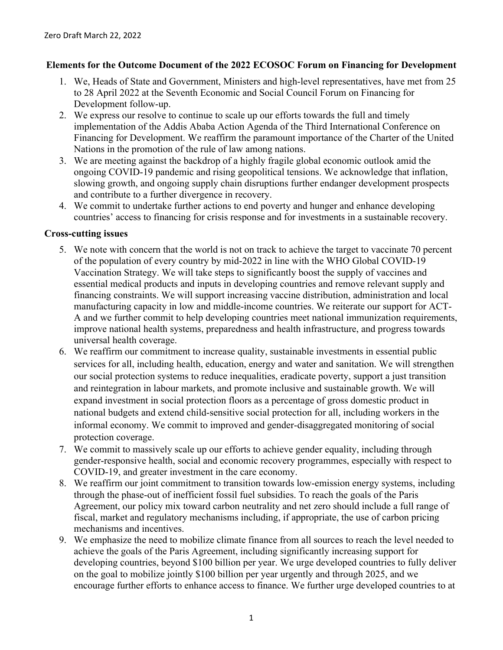### **Elements for the Outcome Document of the 2022 ECOSOC Forum on Financing for Development**

- 1. We, Heads of State and Government, Ministers and high-level representatives, have met from 25 to 28 April 2022 at the Seventh Economic and Social Council Forum on Financing for Development follow-up.
- 2. We express our resolve to continue to scale up our efforts towards the full and timely implementation of the Addis Ababa Action Agenda of the Third International Conference on Financing for Development. We reaffirm the paramount importance of the Charter of the United Nations in the promotion of the rule of law among nations.
- 3. We are meeting against the backdrop of a highly fragile global economic outlook amid the ongoing COVID-19 pandemic and rising geopolitical tensions. We acknowledge that inflation, slowing growth, and ongoing supply chain disruptions further endanger development prospects and contribute to a further divergence in recovery.
- 4. We commit to undertake further actions to end poverty and hunger and enhance developing countries' access to financing for crisis response and for investments in a sustainable recovery.

### **Cross-cutting issues**

- 5. We note with concern that the world is not on track to achieve the target to vaccinate 70 percent of the population of every country by mid-2022 in line with the WHO Global COVID-19 Vaccination Strategy. We will take steps to significantly boost the supply of vaccines and essential medical products and inputs in developing countries and remove relevant supply and financing constraints. We will support increasing vaccine distribution, administration and local manufacturing capacity in low and middle-income countries. We reiterate our support for ACT-A and we further commit to help developing countries meet national immunization requirements, improve national health systems, preparedness and health infrastructure, and progress towards universal health coverage.
- 6. We reaffirm our commitment to increase quality, sustainable investments in essential public services for all, including health, education, energy and water and sanitation. We will strengthen our social protection systems to reduce inequalities, eradicate poverty, support a just transition and reintegration in labour markets, and promote inclusive and sustainable growth. We will expand investment in social protection floors as a percentage of gross domestic product in national budgets and extend child-sensitive social protection for all, including workers in the informal economy. We commit to improved and gender-disaggregated monitoring of social protection coverage.
- 7. We commit to massively scale up our efforts to achieve gender equality, including through gender-responsive health, social and economic recovery programmes, especially with respect to COVID-19, and greater investment in the care economy.
- 8. We reaffirm our joint commitment to transition towards low-emission energy systems, including through the phase-out of inefficient fossil fuel subsidies. To reach the goals of the Paris Agreement, our policy mix toward carbon neutrality and net zero should include a full range of fiscal, market and regulatory mechanisms including, if appropriate, the use of carbon pricing mechanisms and incentives.
- 9. We emphasize the need to mobilize climate finance from all sources to reach the level needed to achieve the goals of the Paris Agreement, including significantly increasing support for developing countries, beyond \$100 billion per year. We urge developed countries to fully deliver on the goal to mobilize jointly \$100 billion per year urgently and through 2025, and we encourage further efforts to enhance access to finance. We further urge developed countries to at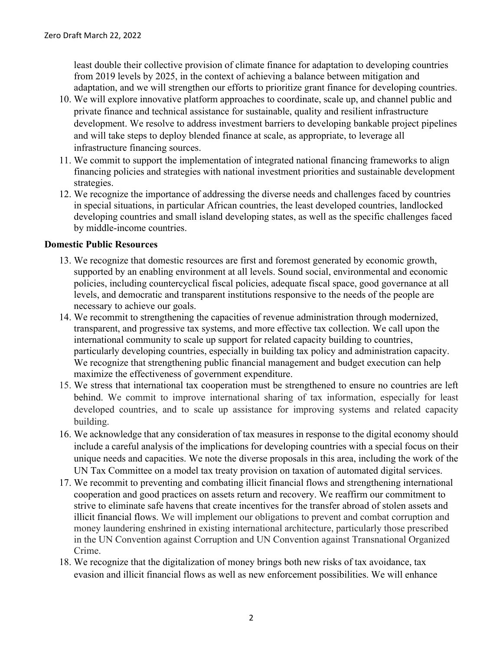least double their collective provision of climate finance for adaptation to developing countries from 2019 levels by 2025, in the context of achieving a balance between mitigation and adaptation, and we will strengthen our efforts to prioritize grant finance for developing countries.

- 10. We will explore innovative platform approaches to coordinate, scale up, and channel public and private finance and technical assistance for sustainable, quality and resilient infrastructure development. We resolve to address investment barriers to developing bankable project pipelines and will take steps to deploy blended finance at scale, as appropriate, to leverage all infrastructure financing sources.
- 11. We commit to support the implementation of integrated national financing frameworks to align financing policies and strategies with national investment priorities and sustainable development strategies.
- 12. We recognize the importance of addressing the diverse needs and challenges faced by countries in special situations, in particular African countries, the least developed countries, landlocked developing countries and small island developing states, as well as the specific challenges faced by middle-income countries.

# **Domestic Public Resources**

- 13. We recognize that domestic resources are first and foremost generated by economic growth, supported by an enabling environment at all levels. Sound social, environmental and economic policies, including countercyclical fiscal policies, adequate fiscal space, good governance at all levels, and democratic and transparent institutions responsive to the needs of the people are necessary to achieve our goals.
- 14. We recommit to strengthening the capacities of revenue administration through modernized, transparent, and progressive tax systems, and more effective tax collection. We call upon the international community to scale up support for related capacity building to countries, particularly developing countries, especially in building tax policy and administration capacity. We recognize that strengthening public financial management and budget execution can help maximize the effectiveness of government expenditure.
- 15. We stress that international tax cooperation must be strengthened to ensure no countries are left behind. We commit to improve international sharing of tax information, especially for least developed countries, and to scale up assistance for improving systems and related capacity building.
- 16. We acknowledge that any consideration of tax measures in response to the digital economy should include a careful analysis of the implications for developing countries with a special focus on their unique needs and capacities. We note the diverse proposals in this area, including the work of the UN Tax Committee on a model tax treaty provision on taxation of automated digital services.
- 17. We recommit to preventing and combating illicit financial flows and strengthening international cooperation and good practices on assets return and recovery. We reaffirm our commitment to strive to eliminate safe havens that create incentives for the transfer abroad of stolen assets and illicit financial flows. We will implement our obligations to prevent and combat corruption and money laundering enshrined in existing international architecture, particularly those prescribed in the UN Convention against Corruption and UN Convention against Transnational Organized Crime.
- 18. We recognize that the digitalization of money brings both new risks of tax avoidance, tax evasion and illicit financial flows as well as new enforcement possibilities. We will enhance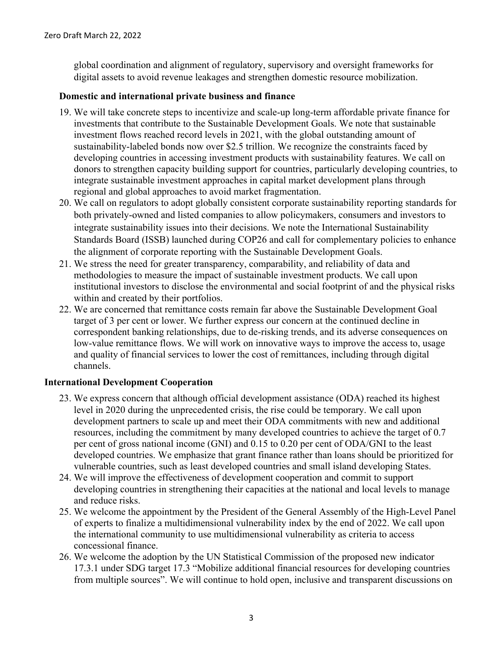global coordination and alignment of regulatory, supervisory and oversight frameworks for digital assets to avoid revenue leakages and strengthen domestic resource mobilization.

### **Domestic and international private business and finance**

- 19. We will take concrete steps to incentivize and scale-up long-term affordable private finance for investments that contribute to the Sustainable Development Goals. We note that sustainable investment flows reached record levels in 2021, with the global outstanding amount of sustainability-labeled bonds now over \$2.5 trillion. We recognize the constraints faced by developing countries in accessing investment products with sustainability features. We call on donors to strengthen capacity building support for countries, particularly developing countries, to integrate sustainable investment approaches in capital market development plans through regional and global approaches to avoid market fragmentation.
- 20. We call on regulators to adopt globally consistent corporate sustainability reporting standards for both privately-owned and listed companies to allow policymakers, consumers and investors to integrate sustainability issues into their decisions. We note the International Sustainability Standards Board (ISSB) launched during COP26 and call for complementary policies to enhance the alignment of corporate reporting with the Sustainable Development Goals.
- 21. We stress the need for greater transparency, comparability, and reliability of data and methodologies to measure the impact of sustainable investment products. We call upon institutional investors to disclose the environmental and social footprint of and the physical risks within and created by their portfolios.
- 22. We are concerned that remittance costs remain far above the Sustainable Development Goal target of 3 per cent or lower. We further express our concern at the continued decline in correspondent banking relationships, due to de-risking trends, and its adverse consequences on low-value remittance flows. We will work on innovative ways to improve the access to, usage and quality of financial services to lower the cost of remittances, including through digital channels.

# **International Development Cooperation**

- 23. We express concern that although official development assistance (ODA) reached its highest level in 2020 during the unprecedented crisis, the rise could be temporary. We call upon development partners to scale up and meet their ODA commitments with new and additional resources, including the commitment by many developed countries to achieve the target of 0.7 per cent of gross national income (GNI) and 0.15 to 0.20 per cent of ODA/GNI to the least developed countries. We emphasize that grant finance rather than loans should be prioritized for vulnerable countries, such as least developed countries and small island developing States.
- 24. We will improve the effectiveness of development cooperation and commit to support developing countries in strengthening their capacities at the national and local levels to manage and reduce risks.
- 25. We welcome the appointment by the President of the General Assembly of the High-Level Panel of experts to finalize a multidimensional vulnerability index by the end of 2022. We call upon the international community to use multidimensional vulnerability as criteria to access concessional finance.
- 26. We welcome the adoption by the UN Statistical Commission of the proposed new indicator 17.3.1 under SDG target 17.3 "Mobilize additional financial resources for developing countries from multiple sources". We will continue to hold open, inclusive and transparent discussions on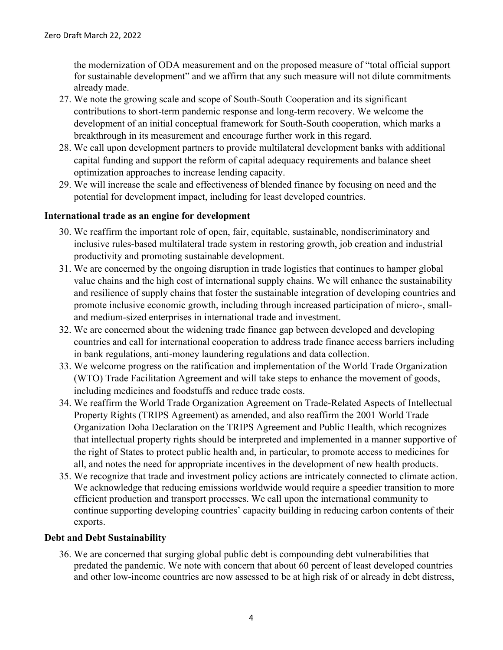the modernization of ODA measurement and on the proposed measure of "total official support for sustainable development" and we affirm that any such measure will not dilute commitments already made.

- 27. We note the growing scale and scope of South-South Cooperation and its significant contributions to short-term pandemic response and long-term recovery. We welcome the development of an initial conceptual framework for South-South cooperation, which marks a breakthrough in its measurement and encourage further work in this regard.
- 28. We call upon development partners to provide multilateral development banks with additional capital funding and support the reform of capital adequacy requirements and balance sheet optimization approaches to increase lending capacity.
- 29. We will increase the scale and effectiveness of blended finance by focusing on need and the potential for development impact, including for least developed countries.

# **International trade as an engine for development**

- 30. We reaffirm the important role of open, fair, equitable, sustainable, nondiscriminatory and inclusive rules-based multilateral trade system in restoring growth, job creation and industrial productivity and promoting sustainable development.
- 31. We are concerned by the ongoing disruption in trade logistics that continues to hamper global value chains and the high cost of international supply chains. We will enhance the sustainability and resilience of supply chains that foster the sustainable integration of developing countries and promote inclusive economic growth, including through increased participation of micro-, smalland medium-sized enterprises in international trade and investment.
- 32. We are concerned about the widening trade finance gap between developed and developing countries and call for international cooperation to address trade finance access barriers including in bank regulations, anti-money laundering regulations and data collection.
- 33. We welcome progress on the ratification and implementation of the World Trade Organization (WTO) Trade Facilitation Agreement and will take steps to enhance the movement of goods, including medicines and foodstuffs and reduce trade costs.
- 34. We reaffirm the World Trade Organization Agreement on Trade-Related Aspects of Intellectual Property Rights (TRIPS Agreement) as amended, and also reaffirm the 2001 World Trade Organization Doha Declaration on the TRIPS Agreement and Public Health, which recognizes that intellectual property rights should be interpreted and implemented in a manner supportive of the right of States to protect public health and, in particular, to promote access to medicines for all, and notes the need for appropriate incentives in the development of new health products.
- 35. We recognize that trade and investment policy actions are intricately connected to climate action. We acknowledge that reducing emissions worldwide would require a speedier transition to more efficient production and transport processes. We call upon the international community to continue supporting developing countries' capacity building in reducing carbon contents of their exports.

# **Debt and Debt Sustainability**

36. We are concerned that surging global public debt is compounding debt vulnerabilities that predated the pandemic. We note with concern that about 60 percent of least developed countries and other low-income countries are now assessed to be at high risk of or already in debt distress,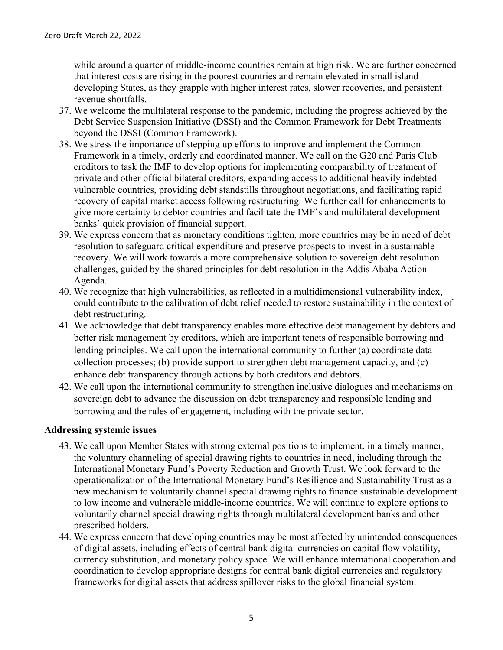while around a quarter of middle-income countries remain at high risk. We are further concerned that interest costs are rising in the poorest countries and remain elevated in small island developing States, as they grapple with higher interest rates, slower recoveries, and persistent revenue shortfalls.

- 37. We welcome the multilateral response to the pandemic, including the progress achieved by the Debt Service Suspension Initiative (DSSI) and the Common Framework for Debt Treatments beyond the DSSI (Common Framework).
- 38. We stress the importance of stepping up efforts to improve and implement the Common Framework in a timely, orderly and coordinated manner. We call on the G20 and Paris Club creditors to task the IMF to develop options for implementing comparability of treatment of private and other official bilateral creditors, expanding access to additional heavily indebted vulnerable countries, providing debt standstills throughout negotiations, and facilitating rapid recovery of capital market access following restructuring. We further call for enhancements to give more certainty to debtor countries and facilitate the IMF's and multilateral development banks' quick provision of financial support.
- 39. We express concern that as monetary conditions tighten, more countries may be in need of debt resolution to safeguard critical expenditure and preserve prospects to invest in a sustainable recovery. We will work towards a more comprehensive solution to sovereign debt resolution challenges, guided by the shared principles for debt resolution in the Addis Ababa Action Agenda.
- 40. We recognize that high vulnerabilities, as reflected in a multidimensional vulnerability index, could contribute to the calibration of debt relief needed to restore sustainability in the context of debt restructuring.
- 41. We acknowledge that debt transparency enables more effective debt management by debtors and better risk management by creditors, which are important tenets of responsible borrowing and lending principles. We call upon the international community to further (a) coordinate data collection processes; (b) provide support to strengthen debt management capacity, and (c) enhance debt transparency through actions by both creditors and debtors.
- 42. We call upon the international community to strengthen inclusive dialogues and mechanisms on sovereign debt to advance the discussion on debt transparency and responsible lending and borrowing and the rules of engagement, including with the private sector.

# **Addressing systemic issues**

- 43. We call upon Member States with strong external positions to implement, in a timely manner, the voluntary channeling of special drawing rights to countries in need, including through the International Monetary Fund's Poverty Reduction and Growth Trust. We look forward to the operationalization of the International Monetary Fund's Resilience and Sustainability Trust as a new mechanism to voluntarily channel special drawing rights to finance sustainable development to low income and vulnerable middle-income countries. We will continue to explore options to voluntarily channel special drawing rights through multilateral development banks and other prescribed holders.
- 44. We express concern that developing countries may be most affected by unintended consequences of digital assets, including effects of central bank digital currencies on capital flow volatility, currency substitution, and monetary policy space. We will enhance international cooperation and coordination to develop appropriate designs for central bank digital currencies and regulatory frameworks for digital assets that address spillover risks to the global financial system.